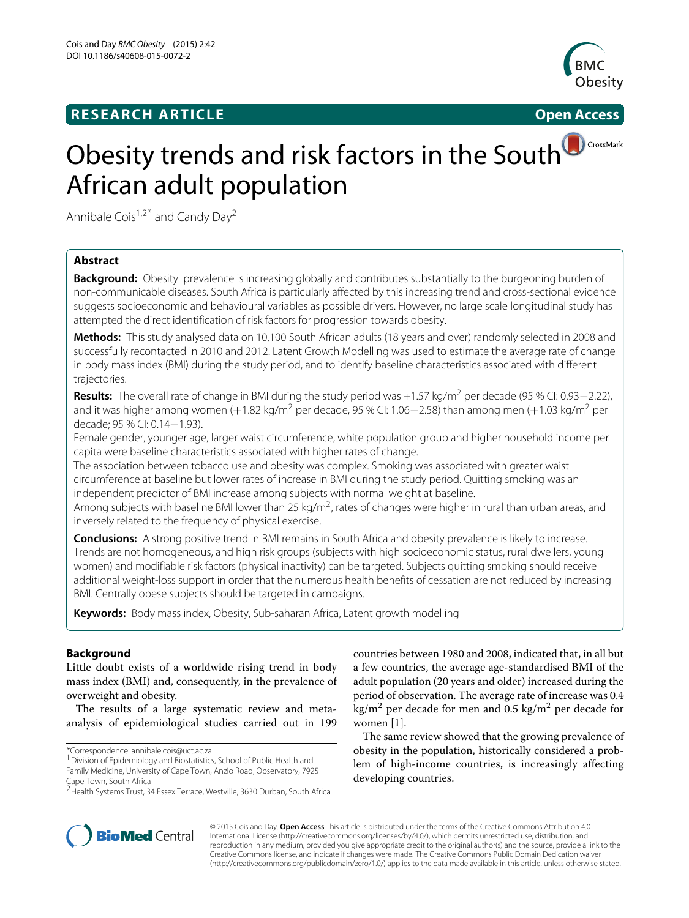# **RESEARCH ARTICLE Open Access**



# Obesity trends and risk factors in t[h](http://crossmark.crossref.org/dialog/?doi=10.1186/s40608-015-0072-2-x&domain=pdf)e South CrossMark African adult population

Annibale Cois<sup>1,2\*</sup> and Candy Day<sup>2</sup>

## **Abstract**

**Background:** Obesity prevalence is increasing globally and contributes substantially to the burgeoning burden of non-communicable diseases. South Africa is particularly affected by this increasing trend and cross-sectional evidence suggests socioeconomic and behavioural variables as possible drivers. However, no large scale longitudinal study has attempted the direct identification of risk factors for progression towards obesity.

**Methods:** This study analysed data on 10,100 South African adults (18 years and over) randomly selected in 2008 and successfully recontacted in 2010 and 2012. Latent Growth Modelling was used to estimate the average rate of change in body mass index (BMI) during the study period, and to identify baseline characteristics associated with different trajectories.

**Results:** The overall rate of change in BMI during the study period was +1.57 kg/m<sup>2</sup> per decade (95 % CI: 0.93−2.22), and it was higher among women  $(+1.82 \text{ kg/m}^2 \text{ per decade}, 95 % \text{Cl}: 1.06-2.58)$  than among men  $(+1.03 \text{ kg/m}^2 \text{ per}$ decade; 95 % CI: 0.14−1.93).

Female gender, younger age, larger waist circumference, white population group and higher household income per capita were baseline characteristics associated with higher rates of change.

The association between tobacco use and obesity was complex. Smoking was associated with greater waist circumference at baseline but lower rates of increase in BMI during the study period. Quitting smoking was an independent predictor of BMI increase among subjects with normal weight at baseline.

Among subjects with baseline BMI lower than 25 kg/m<sup>2</sup>, rates of changes were higher in rural than urban areas, and inversely related to the frequency of physical exercise.

**Conclusions:** A strong positive trend in BMI remains in South Africa and obesity prevalence is likely to increase. Trends are not homogeneous, and high risk groups (subjects with high socioeconomic status, rural dwellers, young women) and modifiable risk factors (physical inactivity) can be targeted. Subjects quitting smoking should receive additional weight-loss support in order that the numerous health benefits of cessation are not reduced by increasing BMI. Centrally obese subjects should be targeted in campaigns.

**Keywords:** Body mass index, Obesity, Sub-saharan Africa, Latent growth modelling

## **Background**

Little doubt exists of a worldwide rising trend in body mass index (BMI) and, consequently, in the prevalence of overweight and obesity.

The results of a large systematic review and metaanalysis of epidemiological studies carried out in 199

<sup>1</sup> Division of Epidemiology and Biostatistics, School of Public Health and Family Medicine, University of Cape Town, Anzio Road, Observatory, 7925 Cape Town, South Africa

countries between 1980 and 2008, indicated that, in all but a few countries, the average age-standardised BMI of the adult population (20 years and older) increased during the period of observation. The average rate of increase was 0.4  $kg/m<sup>2</sup>$  per decade for men and 0.5 kg/m<sup>2</sup> per decade for women [\[1\]](#page-9-0).

The same review showed that the growing prevalence of obesity in the population, historically considered a problem of high-income countries, is increasingly affecting developing countries.



© 2015 Cois and Day. **Open Access** This article is distributed under the terms of the Creative Commons Attribution 4.0 International License [\(http://creativecommons.org/licenses/by/4.0/\)](http://creativecommons.org/licenses/by/4.0/), which permits unrestricted use, distribution, and reproduction in any medium, provided you give appropriate credit to the original author(s) and the source, provide a link to the Creative Commons license, and indicate if changes were made. The Creative Commons Public Domain Dedication waiver [\(http://creativecommons.org/publicdomain/zero/1.0/\)](http://creativecommons.org/publicdomain/zero/1.0/) applies to the data made available in this article, unless otherwise stated.

<sup>\*</sup>Correspondence: [annibale.cois@uct.ac.za](mailto: annibale.cois@uct.ac.za)

<sup>2</sup>Health Systems Trust, 34 Essex Terrace, Westville, 3630 Durban, South Africa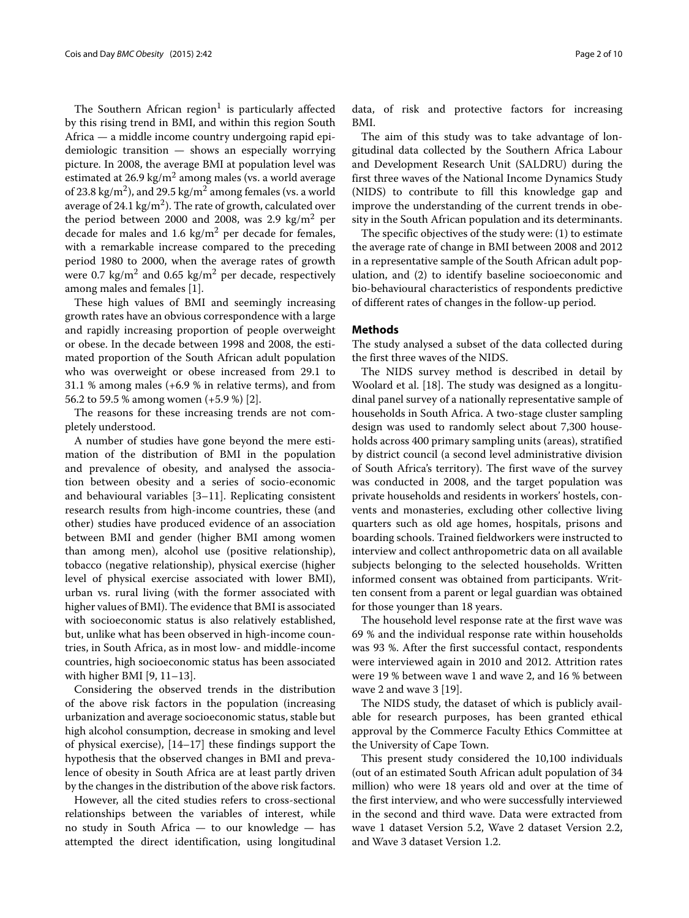The Southern African region<sup>1</sup> is particularly affected by this rising trend in BMI, and within this region South Africa — a middle income country undergoing rapid epidemiologic transition — shows an especially worrying picture. In 2008, the average BMI at population level was estimated at  $26.9 \text{ kg/m}^2$  among males (vs. a world average of 23.8 kg/m<sup>2</sup>), and 29.5 kg/m<sup>2</sup> among females (vs. a world average of 24.1 kg/m<sup>2</sup>). The rate of growth, calculated over the period between 2000 and 2008, was 2.9 kg/m<sup>2</sup> per decade for males and 1.6 kg/m<sup>2</sup> per decade for females, with a remarkable increase compared to the preceding period 1980 to 2000, when the average rates of growth were 0.7 kg/m<sup>2</sup> and 0.65 kg/m<sup>2</sup> per decade, respectively among males and females [\[1\]](#page-9-0).

These high values of BMI and seemingly increasing growth rates have an obvious correspondence with a large and rapidly increasing proportion of people overweight or obese. In the decade between 1998 and 2008, the estimated proportion of the South African adult population who was overweight or obese increased from 29.1 to 31.1 % among males (+6.9 % in relative terms), and from 56.2 to 59.5 % among women (+5.9 %) [\[2\]](#page-9-1).

The reasons for these increasing trends are not completely understood.

A number of studies have gone beyond the mere estimation of the distribution of BMI in the population and prevalence of obesity, and analysed the association between obesity and a series of socio-economic and behavioural variables [\[3](#page-9-2)[–11\]](#page-9-3). Replicating consistent research results from high-income countries, these (and other) studies have produced evidence of an association between BMI and gender (higher BMI among women than among men), alcohol use (positive relationship), tobacco (negative relationship), physical exercise (higher level of physical exercise associated with lower BMI), urban vs. rural living (with the former associated with higher values of BMI). The evidence that BMI is associated with socioeconomic status is also relatively established, but, unlike what has been observed in high-income countries, in South Africa, as in most low- and middle-income countries, high socioeconomic status has been associated with higher BMI [\[9,](#page-9-4) [11](#page-9-3)[–13\]](#page-9-5).

Considering the observed trends in the distribution of the above risk factors in the population (increasing urbanization and average socioeconomic status, stable but high alcohol consumption, decrease in smoking and level of physical exercise), [\[14](#page-9-6)[–17\]](#page-9-7) these findings support the hypothesis that the observed changes in BMI and prevalence of obesity in South Africa are at least partly driven by the changes in the distribution of the above risk factors.

However, all the cited studies refers to cross-sectional relationships between the variables of interest, while no study in South Africa — to our knowledge — has attempted the direct identification, using longitudinal data, of risk and protective factors for increasing BMI.

The aim of this study was to take advantage of longitudinal data collected by the Southern Africa Labour and Development Research Unit (SALDRU) during the first three waves of the National Income Dynamics Study (NIDS) to contribute to fill this knowledge gap and improve the understanding of the current trends in obesity in the South African population and its determinants.

The specific objectives of the study were: (1) to estimate the average rate of change in BMI between 2008 and 2012 in a representative sample of the South African adult population, and (2) to identify baseline socioeconomic and bio-behavioural characteristics of respondents predictive of different rates of changes in the follow-up period.

#### **Methods**

The study analysed a subset of the data collected during the first three waves of the NIDS.

The NIDS survey method is described in detail by Woolard et al. [\[18\]](#page-9-8). The study was designed as a longitudinal panel survey of a nationally representative sample of households in South Africa. A two-stage cluster sampling design was used to randomly select about 7,300 households across 400 primary sampling units (areas), stratified by district council (a second level administrative division of South Africa's territory). The first wave of the survey was conducted in 2008, and the target population was private households and residents in workers' hostels, convents and monasteries, excluding other collective living quarters such as old age homes, hospitals, prisons and boarding schools. Trained fieldworkers were instructed to interview and collect anthropometric data on all available subjects belonging to the selected households. Written informed consent was obtained from participants. Written consent from a parent or legal guardian was obtained for those younger than 18 years.

The household level response rate at the first wave was 69 % and the individual response rate within households was 93 %. After the first successful contact, respondents were interviewed again in 2010 and 2012. Attrition rates were 19 % between wave 1 and wave 2, and 16 % between wave 2 and wave 3 [\[19\]](#page-9-9).

The NIDS study, the dataset of which is publicly available for research purposes, has been granted ethical approval by the Commerce Faculty Ethics Committee at the University of Cape Town.

This present study considered the 10,100 individuals (out of an estimated South African adult population of 34 million) who were 18 years old and over at the time of the first interview, and who were successfully interviewed in the second and third wave. Data were extracted from wave 1 dataset Version 5.2, Wave 2 dataset Version 2.2, and Wave 3 dataset Version 1.2.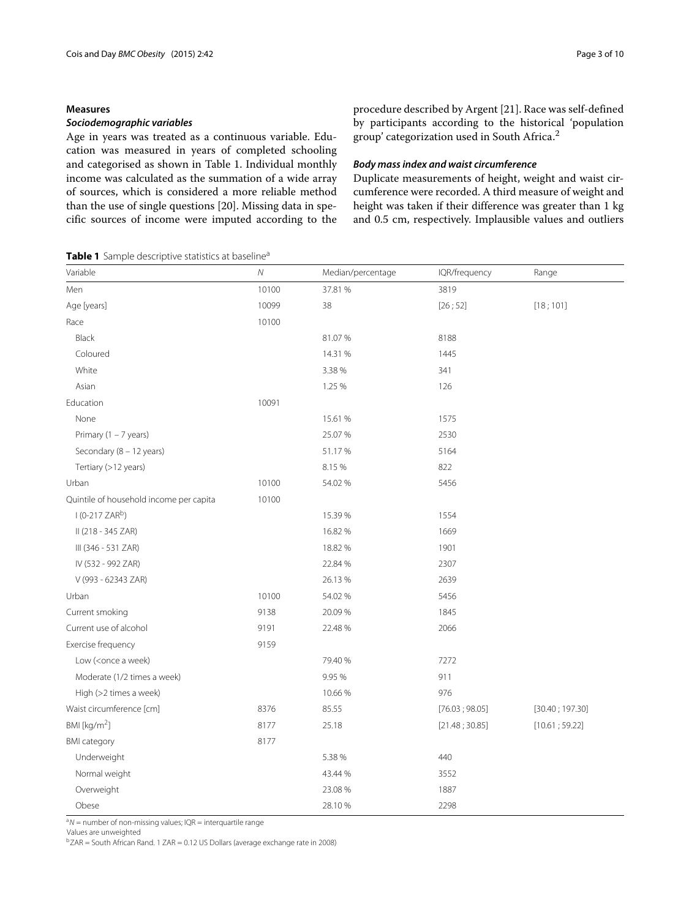## **Measures**

#### *Sociodemographic variables*

Age in years was treated as a continuous variable. Education was measured in years of completed schooling and categorised as shown in Table [1.](#page-2-0) Individual monthly income was calculated as the summation of a wide array of sources, which is considered a more reliable method than the use of single questions [\[20\]](#page-9-10). Missing data in specific sources of income were imputed according to the

#### <span id="page-2-0"></span>**Table 1** Sample descriptive statistics at baseline<sup>a</sup>

procedure described by Argent [\[21\]](#page-9-11). Race was self-defined by participants according to the historical 'population group' categorization used in South Africa.<sup>2</sup>

#### *Body mass index and waist circumference*

Duplicate measurements of height, weight and waist circumference were recorded. A third measure of weight and height was taken if their difference was greater than 1 kg and 0.5 cm, respectively. Implausible values and outliers

| Variable                                                                                | $\cal N$ | Median/percentage | IQR/frequency  | Range           |
|-----------------------------------------------------------------------------------------|----------|-------------------|----------------|-----------------|
| Men                                                                                     | 10100    | 37.81 %           | 3819           |                 |
| Age [years]                                                                             | 10099    | 38                | [26;52]        | [18; 101]       |
| Race                                                                                    | 10100    |                   |                |                 |
| Black                                                                                   |          | 81.07%            | 8188           |                 |
| Coloured                                                                                |          | 14.31 %           | 1445           |                 |
| White                                                                                   |          | 3.38%             | 341            |                 |
| Asian                                                                                   |          | 1.25 %            | 126            |                 |
| Education                                                                               | 10091    |                   |                |                 |
| None                                                                                    |          | 15.61 %           | 1575           |                 |
| Primary (1 - 7 years)                                                                   |          | 25.07%            | 2530           |                 |
| Secondary (8 - 12 years)                                                                |          | 51.17%            | 5164           |                 |
| Tertiary (>12 years)                                                                    |          | 8.15%             | 822            |                 |
| Urban                                                                                   | 10100    | 54.02 %           | 5456           |                 |
| Quintile of household income per capita                                                 | 10100    |                   |                |                 |
| $1(0-217 ZARb)$                                                                         |          | 15.39%            | 1554           |                 |
| II (218 - 345 ZAR)                                                                      |          | 16.82%            | 1669           |                 |
| III (346 - 531 ZAR)                                                                     |          | 18.82%            | 1901           |                 |
| IV (532 - 992 ZAR)                                                                      |          | 22.84 %           | 2307           |                 |
| V (993 - 62343 ZAR)                                                                     |          | 26.13%            | 2639           |                 |
| Urban                                                                                   | 10100    | 54.02 %           | 5456           |                 |
| Current smoking                                                                         | 9138     | 20.09%            | 1845           |                 |
| Current use of alcohol                                                                  | 9191     | 22.48%            | 2066           |                 |
| Exercise frequency                                                                      | 9159     |                   |                |                 |
| Low ( <once a="" td="" week)<=""><td></td><td>79.40 %</td><td>7272</td><td></td></once> |          | 79.40 %           | 7272           |                 |
| Moderate (1/2 times a week)                                                             |          | 9.95 %            | 911            |                 |
| High (>2 times a week)                                                                  |          | 10.66 %           | 976            |                 |
| Waist circumference [cm]                                                                | 8376     | 85.55             | [76.03; 98.05] | [30.40; 197.30] |
| BMI [kg/m <sup>2</sup> ]                                                                | 8177     | 25.18             | [21.48; 30.85] | [10.61; 59.22]  |
| <b>BMI</b> category                                                                     | 8177     |                   |                |                 |
| Underweight                                                                             |          | 5.38 %            | 440            |                 |
| Normal weight                                                                           |          | 43.44 %           | 3552           |                 |
| Overweight                                                                              |          | 23.08 %           | 1887           |                 |
| Obese                                                                                   |          | 28.10%            | 2298           |                 |

 $a^a$ N = number of non-missing values; IQR = interquartile range

Values are unweighted

bZAR = South African Rand. 1 ZAR = 0.12 US Dollars (average exchange rate in 2008)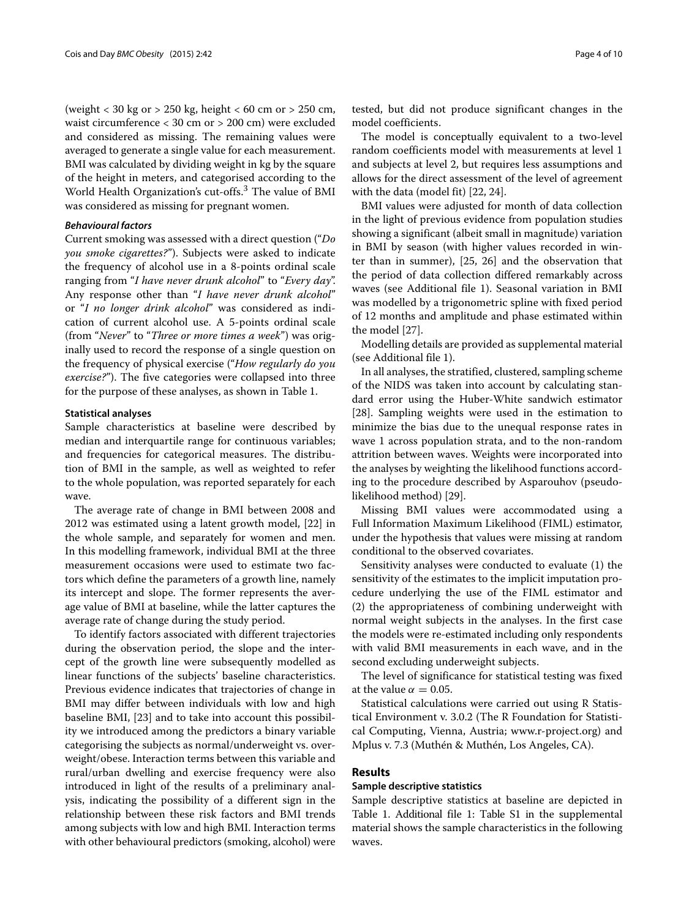(weight < 30 kg or > 250 kg, height < 60 cm or > 250 cm, waist circumference < 30 cm or > 200 cm) were excluded and considered as missing. The remaining values were averaged to generate a single value for each measurement. BMI was calculated by dividing weight in kg by the square of the height in meters, and categorised according to the World Health Organization's cut-offs.<sup>3</sup> The value of BMI was considered as missing for pregnant women.

#### *Behavioural factors*

Current smoking was assessed with a direct question ("*Do you smoke cigarettes?*"). Subjects were asked to indicate the frequency of alcohol use in a 8-points ordinal scale ranging from "*I have never drunk alcohol*" to "*Every day*". Any response other than "*I have never drunk alcohol*" or "*I no longer drink alcohol*" was considered as indication of current alcohol use. A 5-points ordinal scale (from "*Never*" to "*Three or more times a week*") was originally used to record the response of a single question on the frequency of physical exercise ("*How regularly do you exercise?*"). The five categories were collapsed into three for the purpose of these analyses, as shown in Table [1.](#page-2-0)

#### **Statistical analyses**

Sample characteristics at baseline were described by median and interquartile range for continuous variables; and frequencies for categorical measures. The distribution of BMI in the sample, as well as weighted to refer to the whole population, was reported separately for each wave.

The average rate of change in BMI between 2008 and 2012 was estimated using a latent growth model, [\[22\]](#page-9-12) in the whole sample, and separately for women and men. In this modelling framework, individual BMI at the three measurement occasions were used to estimate two factors which define the parameters of a growth line, namely its intercept and slope. The former represents the average value of BMI at baseline, while the latter captures the average rate of change during the study period.

To identify factors associated with different trajectories during the observation period, the slope and the intercept of the growth line were subsequently modelled as linear functions of the subjects' baseline characteristics. Previous evidence indicates that trajectories of change in BMI may differ between individuals with low and high baseline BMI, [\[23\]](#page-9-13) and to take into account this possibility we introduced among the predictors a binary variable categorising the subjects as normal/underweight vs. overweight/obese. Interaction terms between this variable and rural/urban dwelling and exercise frequency were also introduced in light of the results of a preliminary analysis, indicating the possibility of a different sign in the relationship between these risk factors and BMI trends among subjects with low and high BMI. Interaction terms with other behavioural predictors (smoking, alcohol) were

tested, but did not produce significant changes in the model coefficients.

The model is conceptually equivalent to a two-level random coefficients model with measurements at level 1 and subjects at level 2, but requires less assumptions and allows for the direct assessment of the level of agreement with the data (model fit) [\[22,](#page-9-12) [24\]](#page-9-14).

BMI values were adjusted for month of data collection in the light of previous evidence from population studies showing a significant (albeit small in magnitude) variation in BMI by season (with higher values recorded in winter than in summer), [\[25,](#page-9-15) [26\]](#page-9-16) and the observation that the period of data collection differed remarkably across waves (see Additional file [1\)](#page-8-0). Seasonal variation in BMI was modelled by a trigonometric spline with fixed period of 12 months and amplitude and phase estimated within the model [\[27\]](#page-9-17).

Modelling details are provided as supplemental material (see Additional file [1\)](#page-8-0).

In all analyses, the stratified, clustered, sampling scheme of the NIDS was taken into account by calculating standard error using the Huber-White sandwich estimator [\[28\]](#page-9-18). Sampling weights were used in the estimation to minimize the bias due to the unequal response rates in wave 1 across population strata, and to the non-random attrition between waves. Weights were incorporated into the analyses by weighting the likelihood functions according to the procedure described by Asparouhov (pseudolikelihood method) [\[29\]](#page-9-19).

Missing BMI values were accommodated using a Full Information Maximum Likelihood (FIML) estimator, under the hypothesis that values were missing at random conditional to the observed covariates.

Sensitivity analyses were conducted to evaluate (1) the sensitivity of the estimates to the implicit imputation procedure underlying the use of the FIML estimator and (2) the appropriateness of combining underweight with normal weight subjects in the analyses. In the first case the models were re-estimated including only respondents with valid BMI measurements in each wave, and in the second excluding underweight subjects.

The level of significance for statistical testing was fixed at the value  $\alpha = 0.05$ .

Statistical calculations were carried out using R Statistical Environment v. 3.0.2 (The R Foundation for Statistical Computing, Vienna, Austria; [www.r-project.org\)](http://www.r-project.org) and Mplus v. 7.3 (Muthén & Muthén, Los Angeles, CA).

#### **Results**

## **Sample descriptive statistics**

Sample descriptive statistics at baseline are depicted in Table [1.](#page-2-0) Additional file [1:](#page-8-0) Table S1 in the supplemental material shows the sample characteristics in the following waves.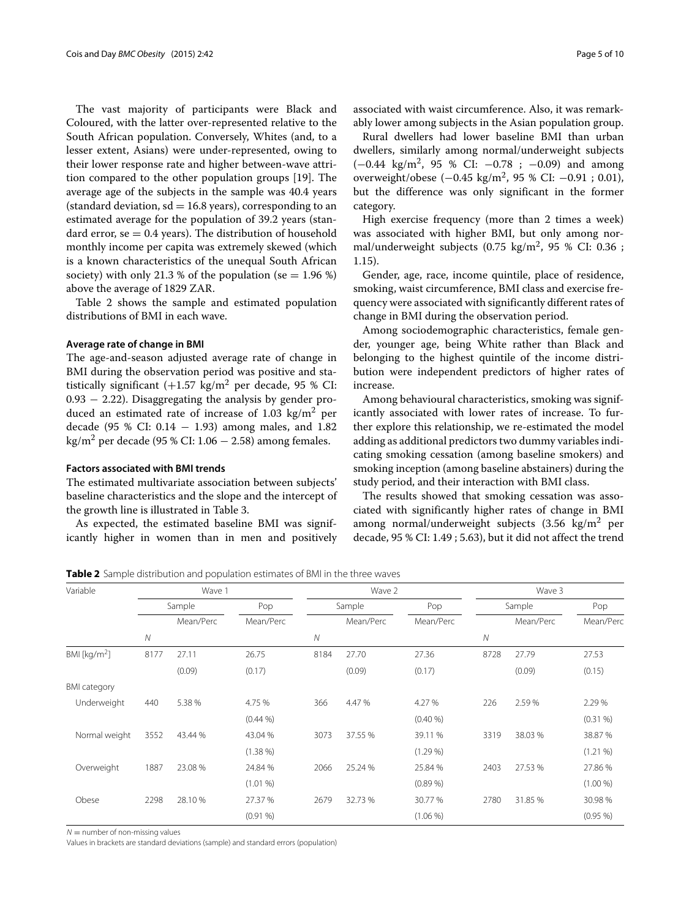The vast majority of participants were Black and Coloured, with the latter over-represented relative to the South African population. Conversely, Whites (and, to a lesser extent, Asians) were under-represented, owing to their lower response rate and higher between-wave attrition compared to the other population groups [\[19\]](#page-9-9). The average age of the subjects in the sample was 40.4 years (standard deviation,  $sd = 16.8$  years), corresponding to an estimated average for the population of 39.2 years (standard error,  $se = 0.4$  years). The distribution of household monthly income per capita was extremely skewed (which is a known characteristics of the unequal South African society) with only 21.3 % of the population (se  $= 1.96$  %) above the average of 1829 ZAR.

Table [2](#page-4-0) shows the sample and estimated population distributions of BMI in each wave.

#### **Average rate of change in BMI**

The age-and-season adjusted average rate of change in BMI during the observation period was positive and statistically significant  $(+1.57 \text{ kg/m}^2 \text{ per decade}, 95 \text{ % CI}:$ 0.93 − 2.22). Disaggregating the analysis by gender produced an estimated rate of increase of 1.03 kg/m<sup>2</sup> per decade (95 % CI:  $0.14 - 1.93$ ) among males, and 1.82 kg/m<sup>2</sup> per decade (95 % CI:  $1.06 - 2.58$ ) among females.

#### **Factors associated with BMI trends**

The estimated multivariate association between subjects' baseline characteristics and the slope and the intercept of the growth line is illustrated in Table [3.](#page-5-0)

As expected, the estimated baseline BMI was significantly higher in women than in men and positively associated with waist circumference. Also, it was remarkably lower among subjects in the Asian population group.

Rural dwellers had lower baseline BMI than urban dwellers, similarly among normal/underweight subjects  $(-0.44 \text{ kg/m}^2, 95 \text{ % CI: } -0.78; -0.09)$  and among overweight/obese (−0.45 kg/m2, 95 % CI: <sup>−</sup>0.91 ; 0.01), but the difference was only significant in the former category.

High exercise frequency (more than 2 times a week) was associated with higher BMI, but only among normal/underweight subjects  $(0.75 \text{ kg/m}^2, 95 \text{ % CI: } 0.36$ ; 1.15).

Gender, age, race, income quintile, place of residence, smoking, waist circumference, BMI class and exercise frequency were associated with significantly different rates of change in BMI during the observation period.

Among sociodemographic characteristics, female gender, younger age, being White rather than Black and belonging to the highest quintile of the income distribution were independent predictors of higher rates of increase.

Among behavioural characteristics, smoking was significantly associated with lower rates of increase. To further explore this relationship, we re-estimated the model adding as additional predictors two dummy variables indicating smoking cessation (among baseline smokers) and smoking inception (among baseline abstainers) during the study period, and their interaction with BMI class.

The results showed that smoking cessation was associated with significantly higher rates of change in BMI among normal/underweight subjects  $(3.56 \text{ kg/m}^2 \text{ per}$ decade, 95 % CI: 1.49 ; 5.63), but it did not affect the trend

**Table 2** Sample distribution and population estimates of BMI in the three waves

<span id="page-4-0"></span>

| Variable            | Wave 1     |           |             |              | Wave 2    |             | Wave 3     |           |             |
|---------------------|------------|-----------|-------------|--------------|-----------|-------------|------------|-----------|-------------|
|                     | Sample     |           | Pop         | Sample       |           | Pop         | Sample     |           | Pop         |
|                     |            | Mean/Perc | Mean/Perc   |              | Mean/Perc | Mean/Perc   |            | Mean/Perc | Mean/Perc   |
|                     | ${\cal N}$ |           |             | $\mathcal N$ |           |             | ${\cal N}$ |           |             |
| BMI [ $kg/m2$ ]     | 8177       | 27.11     | 26.75       | 8184         | 27.70     | 27.36       | 8728       | 27.79     | 27.53       |
|                     |            | (0.09)    | (0.17)      |              | (0.09)    | (0.17)      |            | (0.09)    | (0.15)      |
| <b>BMI</b> category |            |           |             |              |           |             |            |           |             |
| Underweight         | 440        | 5.38%     | 4.75 %      | 366          | 4.47%     | 4.27 %      | 226        | 2.59%     | 2.29 %      |
|                     |            |           | $(0.44\% )$ |              |           | $(0.40\% )$ |            |           | $(0.31\%)$  |
| Normal weight       | 3552       | 43.44 %   | 43.04 %     | 3073         | 37.55 %   | 39.11 %     | 3319       | 38.03%    | 38.87%      |
|                     |            |           | $(1.38\%)$  |              |           | $(1.29\%)$  |            |           | $(1.21\%)$  |
| Overweight          | 1887       | 23.08%    | 24.84 %     | 2066         | 25.24 %   | 25.84 %     | 2403       | 27.53 %   | 27.86%      |
|                     |            |           | $(1.01\%)$  |              |           | $(0.89\%)$  |            |           | $(1.00\%)$  |
| Obese               | 2298       | 28.10%    | 27.37 %     | 2679         | 32.73%    | 30.77%      | 2780       | 31.85%    | 30.98%      |
|                     |            |           | $(0.91\% )$ |              |           | $(1.06\%)$  |            |           | $(0.95\% )$ |

 $N =$  number of non-missing values

Values in brackets are standard deviations (sample) and standard errors (population)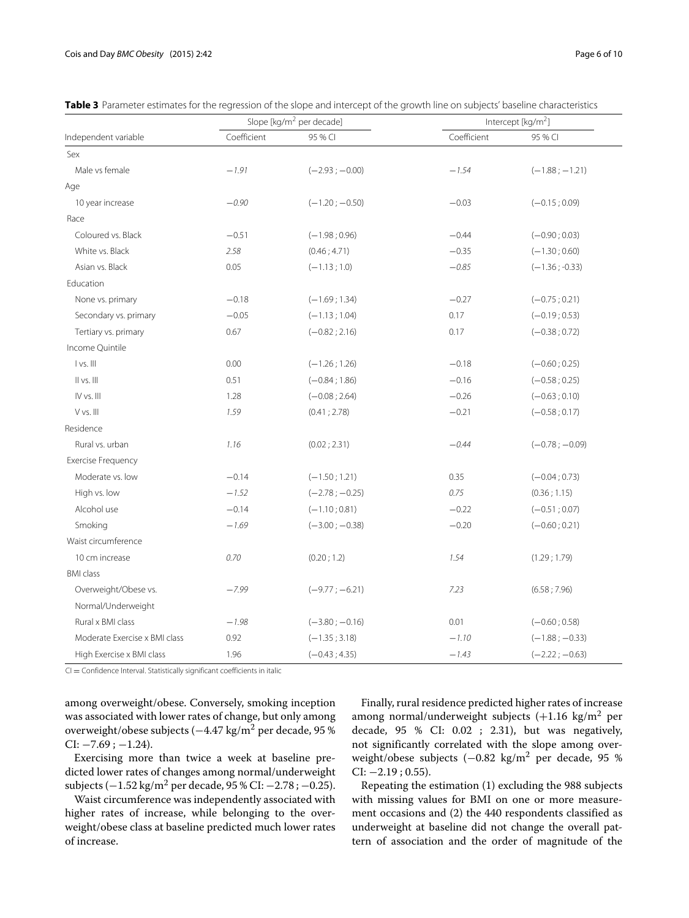<span id="page-5-0"></span>

|                               |             | Slope [kg/m <sup>2</sup> per decade] | Intercept [kg/m <sup>2</sup> ] |                  |  |
|-------------------------------|-------------|--------------------------------------|--------------------------------|------------------|--|
| Independent variable          | Coefficient | 95 % CI                              | Coefficient                    | 95 % CI          |  |
| Sex                           |             |                                      |                                |                  |  |
| Male vs female                | $-1.91$     | $(-2.93; -0.00)$                     | $-1.54$                        | $(-1.88; -1.21)$ |  |
| Age                           |             |                                      |                                |                  |  |
| 10 year increase              | $-0.90$     | $(-1.20; -0.50)$                     | $-0.03$                        | $(-0.15; 0.09)$  |  |
| Race                          |             |                                      |                                |                  |  |
| Coloured vs. Black            | $-0.51$     | $(-1.98; 0.96)$                      | $-0.44$                        | $(-0.90; 0.03)$  |  |
| White vs. Black               | 2.58        | (0.46; 4.71)                         | $-0.35$                        | $(-1.30; 0.60)$  |  |
| Asian vs. Black               | 0.05        | $(-1.13; 1.0)$                       | $-0.85$                        | $(-1.36; -0.33)$ |  |
| Education                     |             |                                      |                                |                  |  |
| None vs. primary              | $-0.18$     | $(-1.69; 1.34)$                      | $-0.27$                        | $(-0.75; 0.21)$  |  |
| Secondary vs. primary         | $-0.05$     | $(-1.13; 1.04)$                      | 0.17                           | $(-0.19; 0.53)$  |  |
| Tertiary vs. primary          | 0.67        | $(-0.82; 2.16)$                      | 0.17                           | $(-0.38; 0.72)$  |  |
| Income Quintile               |             |                                      |                                |                  |  |
| I vs. III                     | 0.00        | $(-1.26; 1.26)$                      | $-0.18$                        | $(-0.60; 0.25)$  |  |
| II vs. III                    | 0.51        | $(-0.84; 1.86)$                      | $-0.16$                        | $(-0.58; 0.25)$  |  |
| IV vs. III                    | 1.28        | $(-0.08; 2.64)$                      | $-0.26$                        | $(-0.63; 0.10)$  |  |
| V vs. III                     | 1.59        | (0.41; 2.78)                         | $-0.21$                        | $(-0.58; 0.17)$  |  |
| Residence                     |             |                                      |                                |                  |  |
| Rural vs. urban               | 1.16        | (0.02; 2.31)                         | $-0.44$                        | $(-0.78; -0.09)$ |  |
| <b>Exercise Frequency</b>     |             |                                      |                                |                  |  |
| Moderate vs. low              | $-0.14$     | $(-1.50; 1.21)$                      | 0.35                           | $(-0.04; 0.73)$  |  |
| High vs. low                  | $-1.52$     | $(-2.78; -0.25)$                     | 0.75                           | (0.36; 1.15)     |  |
| Alcohol use                   | $-0.14$     | $(-1.10; 0.81)$                      | $-0.22$                        | $(-0.51; 0.07)$  |  |
| Smoking                       | $-1.69$     | $(-3.00; -0.38)$                     | $-0.20$                        | $(-0.60; 0.21)$  |  |
| Waist circumference           |             |                                      |                                |                  |  |
| 10 cm increase                | 0.70        | (0.20; 1.2)                          | 1.54                           | (1.29; 1.79)     |  |
| <b>BMI</b> class              |             |                                      |                                |                  |  |
| Overweight/Obese vs.          | $-7.99$     | $(-9.77; -6.21)$                     | 7.23                           | (6.58; 7.96)     |  |
| Normal/Underweight            |             |                                      |                                |                  |  |
| Rural x BMI class             | $-1.98$     | $(-3.80; -0.16)$                     | 0.01                           | $(-0.60; 0.58)$  |  |
| Moderate Exercise x BMI class | 0.92        | $(-1.35; 3.18)$                      | $-1.10$                        | $(-1.88; -0.33)$ |  |
| High Exercise x BMI class     | 1.96        | $(-0.43; 4.35)$                      | $-1.43$                        | $(-2.22; -0.63)$ |  |

CI = Confidence Interval. Statistically significant coefficients in italic

among overweight/obese. Conversely, smoking inception was associated with lower rates of change, but only among overweight/obese subjects (−4.47 kg/m2 per decade, 95 % CI:  $-7.69$ ;  $-1.24$ ).

Exercising more than twice a week at baseline predicted lower rates of changes among normal/underweight subjects  $(-1.52 \text{ kg/m}^2 \text{ per decade}, 95 % \text{CI: } -2.78$ ; −0.25).

Waist circumference was independently associated with higher rates of increase, while belonging to the overweight/obese class at baseline predicted much lower rates of increase.

Finally, rural residence predicted higher rates of increase among normal/underweight subjects  $(+1.16 \text{ kg/m}^2 \text{ per}$ decade, 95 % CI: 0.02 ; 2.31), but was negatively, not significantly correlated with the slope among overweight/obese subjects (−0.82 kg/m2 per decade, 95 %  $CI: -2.19; 0.55$ ).

Repeating the estimation (1) excluding the 988 subjects with missing values for BMI on one or more measurement occasions and (2) the 440 respondents classified as underweight at baseline did not change the overall pattern of association and the order of magnitude of the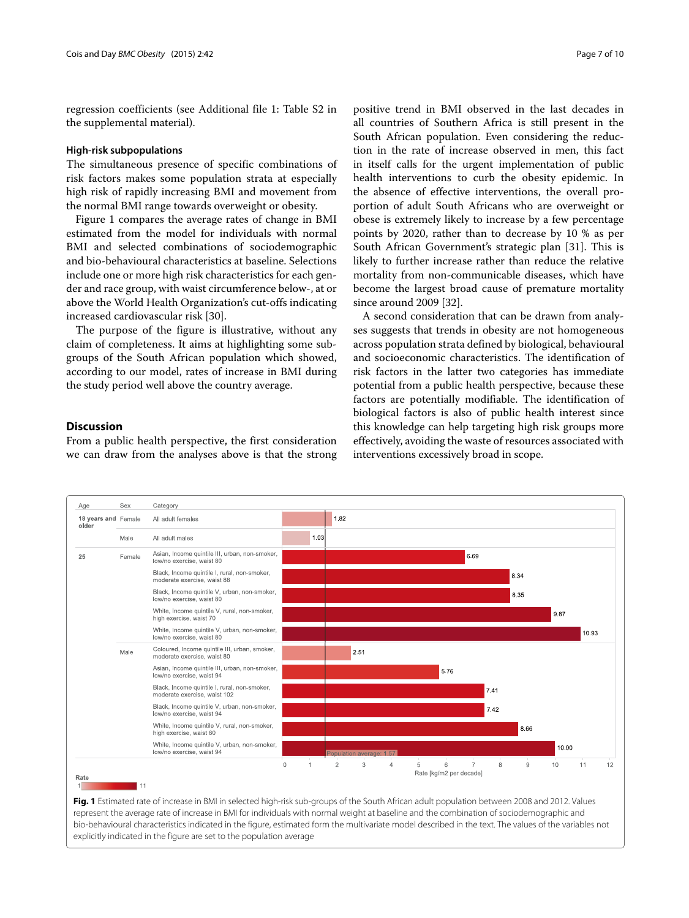regression coefficients (see Additional file [1:](#page-8-0) Table S2 in the supplemental material).

#### **High-risk subpopulations**

The simultaneous presence of specific combinations of risk factors makes some population strata at especially high risk of rapidly increasing BMI and movement from the normal BMI range towards overweight or obesity.

Figure [1](#page-6-0) compares the average rates of change in BMI estimated from the model for individuals with normal BMI and selected combinations of sociodemographic and bio-behavioural characteristics at baseline. Selections include one or more high risk characteristics for each gender and race group, with waist circumference below-, at or above the World Health Organization's cut-offs indicating increased cardiovascular risk [\[30\]](#page-9-20).

The purpose of the figure is illustrative, without any claim of completeness. It aims at highlighting some subgroups of the South African population which showed, according to our model, rates of increase in BMI during the study period well above the country average.

## **Discussion**

From a public health perspective, the first consideration we can draw from the analyses above is that the strong positive trend in BMI observed in the last decades in all countries of Southern Africa is still present in the South African population. Even considering the reduction in the rate of increase observed in men, this fact in itself calls for the urgent implementation of public health interventions to curb the obesity epidemic. In the absence of effective interventions, the overall proportion of adult South Africans who are overweight or obese is extremely likely to increase by a few percentage points by 2020, rather than to decrease by 10 % as per South African Government's strategic plan [\[31\]](#page-9-21). This is likely to further increase rather than reduce the relative mortality from non-communicable diseases, which have become the largest broad cause of premature mortality since around 2009 [\[32\]](#page-9-22).

A second consideration that can be drawn from analyses suggests that trends in obesity are not homogeneous across population strata defined by biological, behavioural and socioeconomic characteristics. The identification of risk factors in the latter two categories has immediate potential from a public health perspective, because these factors are potentially modifiable. The identification of biological factors is also of public health interest since this knowledge can help targeting high risk groups more effectively, avoiding the waste of resources associated with interventions excessively broad in scope.



<span id="page-6-0"></span>**Fig. 1** Estimated rate of increase in BMI in selected high-risk sub-groups of the South African adult population between 2008 and 2012. Values represent the average rate of increase in BMI for individuals with normal weight at baseline and the combination of sociodemographic and bio-behavioural characteristics indicated in the figure, estimated form the multivariate model described in the text. The values of the variables not explicitly indicated in the figure are set to the population average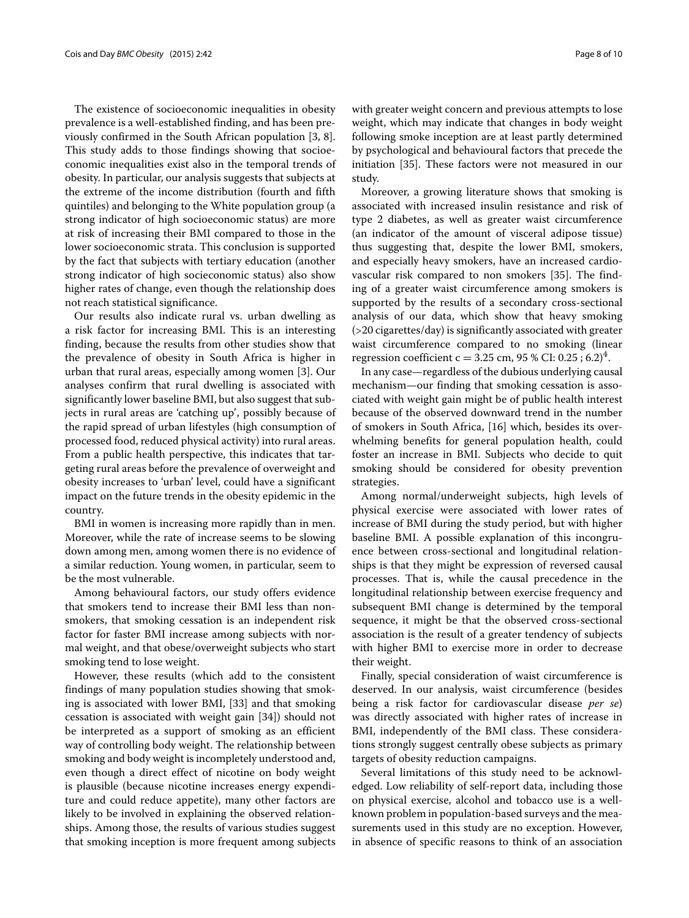The existence of socioeconomic inequalities in obesity prevalence is a well-established finding, and has been previously confirmed in the South African population [\[3,](#page-9-2) [8\]](#page-9-23). This study adds to those findings showing that socioeconomic inequalities exist also in the temporal trends of obesity. In particular, our analysis suggests that subjects at the extreme of the income distribution (fourth and fifth quintiles) and belonging to the White population group (a strong indicator of high socioeconomic status) are more at risk of increasing their BMI compared to those in the lower socioeconomic strata. This conclusion is supported by the fact that subjects with tertiary education (another strong indicator of high socieconomic status) also show higher rates of change, even though the relationship does not reach statistical significance.

Our results also indicate rural vs. urban dwelling as a risk factor for increasing BMI. This is an interesting finding, because the results from other studies show that the prevalence of obesity in South Africa is higher in urban that rural areas, especially among women [\[3\]](#page-9-2). Our analyses confirm that rural dwelling is associated with significantly lower baseline BMI, but also suggest that subjects in rural areas are 'catching up', possibly because of the rapid spread of urban lifestyles (high consumption of processed food, reduced physical activity) into rural areas. From a public health perspective, this indicates that targeting rural areas before the prevalence of overweight and obesity increases to 'urban' level, could have a significant impact on the future trends in the obesity epidemic in the country.

BMI in women is increasing more rapidly than in men. Moreover, while the rate of increase seems to be slowing down among men, among women there is no evidence of a similar reduction. Young women, in particular, seem to be the most vulnerable.

Among behavioural factors, our study offers evidence that smokers tend to increase their BMI less than nonsmokers, that smoking cessation is an independent risk factor for faster BMI increase among subjects with normal weight, and that obese/overweight subjects who start smoking tend to lose weight.

However, these results (which add to the consistent findings of many population studies showing that smoking is associated with lower BMI, [\[33\]](#page-9-24) and that smoking cessation is associated with weight gain [\[34\]](#page-9-25)) should not be interpreted as a support of smoking as an efficient way of controlling body weight. The relationship between smoking and body weight is incompletely understood and, even though a direct effect of nicotine on body weight is plausible (because nicotine increases energy expenditure and could reduce appetite), many other factors are likely to be involved in explaining the observed relationships. Among those, the results of various studies suggest that smoking inception is more frequent among subjects

with greater weight concern and previous attempts to lose weight, which may indicate that changes in body weight following smoke inception are at least partly determined by psychological and behavioural factors that precede the initiation [\[35\]](#page-9-26). These factors were not measured in our study.

Moreover, a growing literature shows that smoking is associated with increased insulin resistance and risk of type 2 diabetes, as well as greater waist circumference (an indicator of the amount of visceral adipose tissue) thus suggesting that, despite the lower BMI, smokers, and especially heavy smokers, have an increased cardiovascular risk compared to non smokers [\[35\]](#page-9-26). The finding of a greater waist circumference among smokers is supported by the results of a secondary cross-sectional analysis of our data, which show that heavy smoking (>20 cigarettes/day) is significantly associated with greater waist circumference compared to no smoking (linear regression coefficient c =  $3.25$  cm, 95 % CI:  $0.25$ ;  $6.2)^4$ .

In any case—regardless of the dubious underlying causal mechanism—our finding that smoking cessation is associated with weight gain might be of public health interest because of the observed downward trend in the number of smokers in South Africa, [\[16\]](#page-9-27) which, besides its overwhelming benefits for general population health, could foster an increase in BMI. Subjects who decide to quit smoking should be considered for obesity prevention strategies.

Among normal/underweight subjects, high levels of physical exercise were associated with lower rates of increase of BMI during the study period, but with higher baseline BMI. A possible explanation of this incongruence between cross-sectional and longitudinal relationships is that they might be expression of reversed causal processes. That is, while the causal precedence in the longitudinal relationship between exercise frequency and subsequent BMI change is determined by the temporal sequence, it might be that the observed cross-sectional association is the result of a greater tendency of subjects with higher BMI to exercise more in order to decrease their weight.

Finally, special consideration of waist circumference is deserved. In our analysis, waist circumference (besides being a risk factor for cardiovascular disease *per se*) was directly associated with higher rates of increase in BMI, independently of the BMI class. These considerations strongly suggest centrally obese subjects as primary targets of obesity reduction campaigns.

Several limitations of this study need to be acknowledged. Low reliability of self-report data, including those on physical exercise, alcohol and tobacco use is a wellknown problem in population-based surveys and the measurements used in this study are no exception. However, in absence of specific reasons to think of an association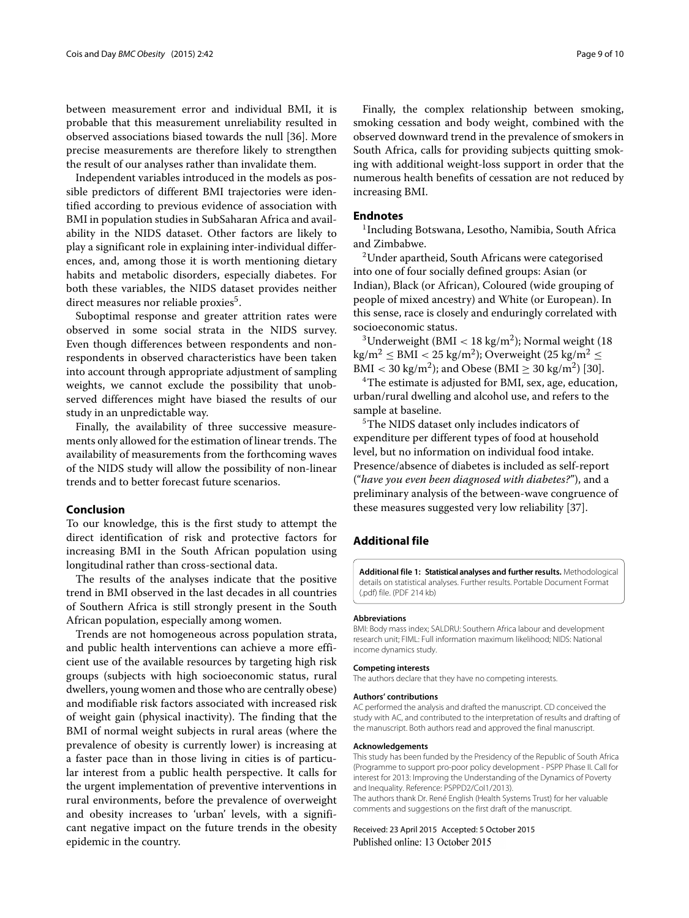between measurement error and individual BMI, it is probable that this measurement unreliability resulted in observed associations biased towards the null [\[36\]](#page-9-28). More precise measurements are therefore likely to strengthen the result of our analyses rather than invalidate them.

Independent variables introduced in the models as possible predictors of different BMI trajectories were identified according to previous evidence of association with BMI in population studies in SubSaharan Africa and availability in the NIDS dataset. Other factors are likely to play a significant role in explaining inter-individual differences, and, among those it is worth mentioning dietary habits and metabolic disorders, especially diabetes. For both these variables, the NIDS dataset provides neither direct measures nor reliable proxies<sup>5</sup>.

Suboptimal response and greater attrition rates were observed in some social strata in the NIDS survey. Even though differences between respondents and nonrespondents in observed characteristics have been taken into account through appropriate adjustment of sampling weights, we cannot exclude the possibility that unobserved differences might have biased the results of our study in an unpredictable way.

Finally, the availability of three successive measurements only allowed for the estimation of linear trends. The availability of measurements from the forthcoming waves of the NIDS study will allow the possibility of non-linear trends and to better forecast future scenarios.

## **Conclusion**

To our knowledge, this is the first study to attempt the direct identification of risk and protective factors for increasing BMI in the South African population using longitudinal rather than cross-sectional data.

The results of the analyses indicate that the positive trend in BMI observed in the last decades in all countries of Southern Africa is still strongly present in the South African population, especially among women.

Trends are not homogeneous across population strata, and public health interventions can achieve a more efficient use of the available resources by targeting high risk groups (subjects with high socioeconomic status, rural dwellers, young women and those who are centrally obese) and modifiable risk factors associated with increased risk of weight gain (physical inactivity). The finding that the BMI of normal weight subjects in rural areas (where the prevalence of obesity is currently lower) is increasing at a faster pace than in those living in cities is of particular interest from a public health perspective. It calls for the urgent implementation of preventive interventions in rural environments, before the prevalence of overweight and obesity increases to 'urban' levels, with a significant negative impact on the future trends in the obesity epidemic in the country.

Finally, the complex relationship between smoking, smoking cessation and body weight, combined with the observed downward trend in the prevalence of smokers in South Africa, calls for providing subjects quitting smoking with additional weight-loss support in order that the numerous health benefits of cessation are not reduced by increasing BMI.

#### **Endnotes**

<sup>1</sup> Including Botswana, Lesotho, Namibia, South Africa and Zimbabwe.

2Under apartheid, South Africans were categorised into one of four socially defined groups: Asian (or Indian), Black (or African), Coloured (wide grouping of people of mixed ancestry) and White (or European). In this sense, race is closely and enduringly correlated with socioeconomic status.

<sup>3</sup>Underweight (BMI < 18 kg/m<sup>2</sup>); Normal weight (18 kg/m<sup>2</sup>  $\le$  BMI  $<$  25 kg/m<sup>2</sup>); Overweight (25 kg/m<sup>2</sup>  $\le$  BMI  $<$  30 kg/m<sup>2</sup>) [30].

<sup>4</sup>The estimate is adjusted for BMI, sex, age, education, urban/rural dwelling and alcohol use, and refers to the sample at baseline.

5The NIDS dataset only includes indicators of expenditure per different types of food at household level, but no information on individual food intake. Presence/absence of diabetes is included as self-report ("*have you even been diagnosed with diabetes?*"), and a preliminary analysis of the between-wave congruence of these measures suggested very low reliability [\[37\]](#page-9-29).

#### **Additional file**

<span id="page-8-0"></span>**[Additional file 1:](http://dx.doi.org/10.1186/s40608-015-0072-2) Statistical analyses and further results.** Methodological details on statistical analyses. Further results. Portable Document Format (.pdf) file. (PDF 214 kb)

#### **Abbreviations**

BMI: Body mass index; SALDRU: Southern Africa labour and development research unit; FIML: Full information maximum likelihood; NIDS: National income dynamics study.

#### **Competing interests**

The authors declare that they have no competing interests.

#### **Authors' contributions**

AC performed the analysis and drafted the manuscript. CD conceived the study with AC, and contributed to the interpretation of results and drafting of the manuscript. Both authors read and approved the final manuscript.

#### **Acknowledgements**

This study has been funded by the Presidency of the Republic of South Africa (Programme to support pro-poor policy development - PSPP Phase II. Call for interest for 2013: Improving the Understanding of the Dynamics of Poverty and Inequality. Reference: PSPPD2/CoI1/2013).

The authors thank Dr. René English (Health Systems Trust) for her valuable comments and suggestions on the first draft of the manuscript.

Received: 23 April 2015 Accepted: 5 October 2015Published online: 13 October 2015